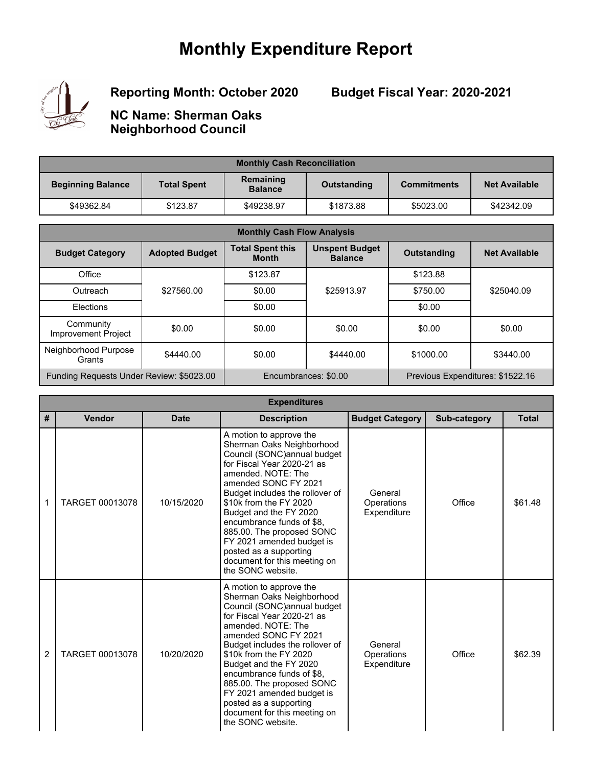## **Monthly Expenditure Report**



**Reporting Month: October 2020**

**Budget Fiscal Year: 2020-2021**

**NC Name: Sherman Oaks Neighborhood Council**

| <b>Monthly Cash Reconciliation</b> |                    |                             |             |                    |                      |
|------------------------------------|--------------------|-----------------------------|-------------|--------------------|----------------------|
| <b>Beginning Balance</b>           | <b>Total Spent</b> | Remaining<br><b>Balance</b> | Outstanding | <b>Commitments</b> | <b>Net Available</b> |
| \$49362.84                         | \$123.87           | \$49238.97                  | \$1873.88   | \$5023.00          | \$42342.09           |

| <b>Monthly Cash Flow Analysis</b>        |                       |                                         |                                         |                    |                                  |  |
|------------------------------------------|-----------------------|-----------------------------------------|-----------------------------------------|--------------------|----------------------------------|--|
| <b>Budget Category</b>                   | <b>Adopted Budget</b> | <b>Total Spent this</b><br><b>Month</b> | <b>Unspent Budget</b><br><b>Balance</b> | <b>Outstanding</b> | <b>Net Available</b>             |  |
| Office                                   |                       | \$123.87                                |                                         | \$123.88           |                                  |  |
| Outreach                                 | \$27560.00            | \$0.00                                  | \$25913.97                              | \$750.00           | \$25040.09                       |  |
| Elections                                |                       | \$0.00                                  |                                         | \$0.00             |                                  |  |
| Community<br><b>Improvement Project</b>  | \$0.00                | \$0.00                                  | \$0.00                                  | \$0.00             | \$0.00                           |  |
| Neighborhood Purpose<br>Grants           | \$4440.00             | \$0.00                                  | \$4440.00                               | \$1000.00          | \$3440.00                        |  |
| Funding Requests Under Review: \$5023.00 |                       |                                         | Encumbrances: \$0.00                    |                    | Previous Expenditures: \$1522.16 |  |

| <b>Expenditures</b> |                 |             |                                                                                                                                                                                                                                                                                                                                                                                                                               |                                      |              |              |
|---------------------|-----------------|-------------|-------------------------------------------------------------------------------------------------------------------------------------------------------------------------------------------------------------------------------------------------------------------------------------------------------------------------------------------------------------------------------------------------------------------------------|--------------------------------------|--------------|--------------|
| #                   | Vendor          | <b>Date</b> | <b>Description</b>                                                                                                                                                                                                                                                                                                                                                                                                            | <b>Budget Category</b>               | Sub-category | <b>Total</b> |
| 1                   | TARGET 00013078 | 10/15/2020  | A motion to approve the<br>Sherman Oaks Neighborhood<br>Council (SONC) annual budget<br>for Fiscal Year 2020-21 as<br>amended, NOTE: The<br>amended SONC FY 2021<br>Budget includes the rollover of<br>\$10k from the FY 2020<br>Budget and the FY 2020<br>encumbrance funds of \$8,<br>885.00. The proposed SONC<br>FY 2021 amended budget is<br>posted as a supporting<br>document for this meeting on<br>the SONC website. | General<br>Operations<br>Expenditure | Office       | \$61.48      |
| $\overline{2}$      | TARGET 00013078 | 10/20/2020  | A motion to approve the<br>Sherman Oaks Neighborhood<br>Council (SONC) annual budget<br>for Fiscal Year 2020-21 as<br>amended, NOTE: The<br>amended SONC FY 2021<br>Budget includes the rollover of<br>\$10k from the FY 2020<br>Budget and the FY 2020<br>encumbrance funds of \$8,<br>885.00. The proposed SONC<br>FY 2021 amended budget is<br>posted as a supporting<br>document for this meeting on<br>the SONC website. | General<br>Operations<br>Expenditure | Office       | \$62.39      |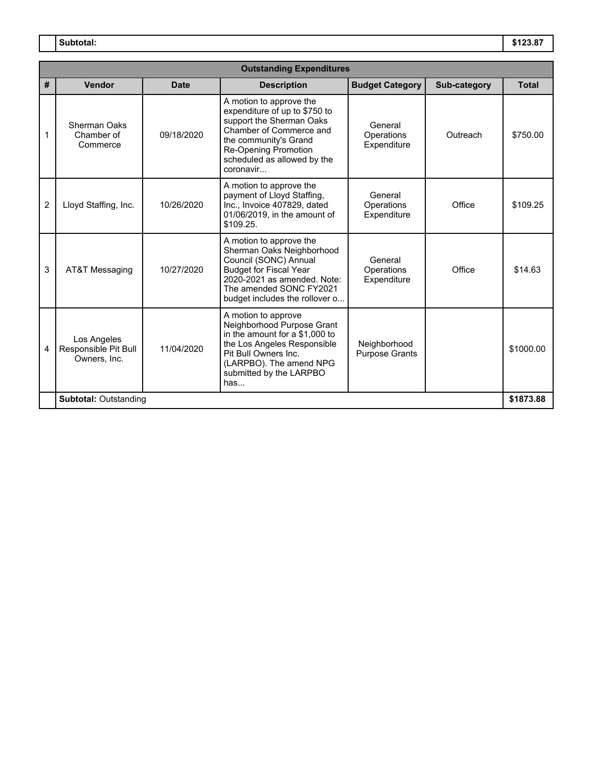**Subtotal: \$123.87**

|                              | <b>Outstanding Expenditures</b>                     |             |                                                                                                                                                                                                                     |                                       |              |              |  |
|------------------------------|-----------------------------------------------------|-------------|---------------------------------------------------------------------------------------------------------------------------------------------------------------------------------------------------------------------|---------------------------------------|--------------|--------------|--|
| #                            | Vendor                                              | <b>Date</b> | <b>Description</b>                                                                                                                                                                                                  | <b>Budget Category</b>                | Sub-category | <b>Total</b> |  |
| 1                            | Sherman Oaks<br>Chamber of<br>Commerce              | 09/18/2020  | A motion to approve the<br>expenditure of up to \$750 to<br>support the Sherman Oaks<br>Chamber of Commerce and<br>the community's Grand<br><b>Re-Opening Promotion</b><br>scheduled as allowed by the<br>coronavir | General<br>Operations<br>Expenditure  | Outreach     | \$750.00     |  |
| $\overline{2}$               | Lloyd Staffing, Inc.                                | 10/26/2020  | A motion to approve the<br>payment of Lloyd Staffing,<br>Inc., Invoice 407829, dated<br>01/06/2019, in the amount of<br>\$109.25.                                                                                   | General<br>Operations<br>Expenditure  | Office       | \$109.25     |  |
| 3                            | AT&T Messaging                                      | 10/27/2020  | A motion to approve the<br>Sherman Oaks Neighborhood<br>Council (SONC) Annual<br><b>Budget for Fiscal Year</b><br>2020-2021 as amended. Note:<br>The amended SONC FY2021<br>budget includes the rollover o          | General<br>Operations<br>Expenditure  | Office       | \$14.63      |  |
| 4                            | Los Angeles<br>Responsible Pit Bull<br>Owners, Inc. | 11/04/2020  | A motion to approve<br>Neighborhood Purpose Grant<br>in the amount for a \$1,000 to<br>the Los Angeles Responsible<br>Pit Bull Owners Inc.<br>(LARPBO). The amend NPG<br>submitted by the LARPBO<br>has             | Neighborhood<br><b>Purpose Grants</b> |              | \$1000.00    |  |
| <b>Subtotal: Outstanding</b> |                                                     |             |                                                                                                                                                                                                                     | \$1873.88                             |              |              |  |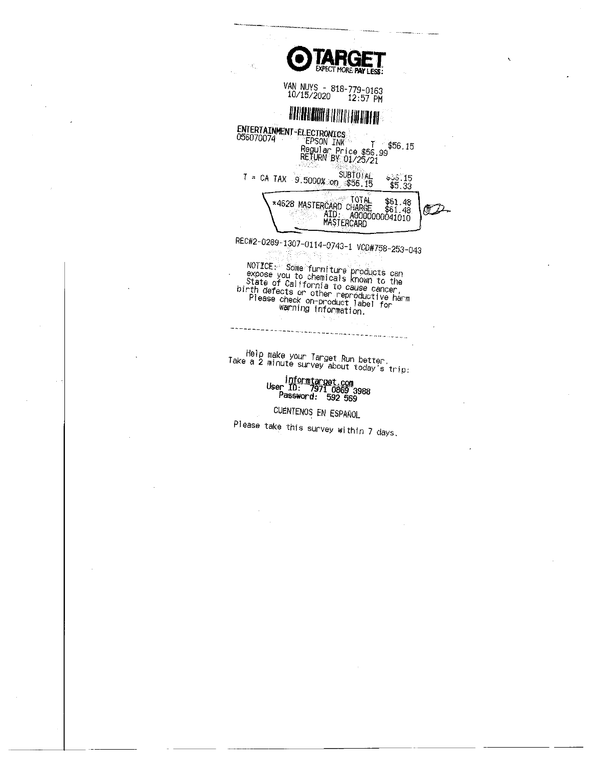| <b>OTARGET</b><br>14.                                                                                                |
|----------------------------------------------------------------------------------------------------------------------|
| VAN NUYS - 818-779-0163<br>10/15/2020 12:57 PM                                                                       |
| <b>TARTA PROBINER SE</b>                                                                                             |
| ENTERTAINMENT-ELECTRONICS<br>056070074<br><b>EPSON INK</b><br>\$56.15<br>Regular Price \$56.99<br>RETURN BY 01/25/21 |
| SUBTOTAL<br>\$50.15<br>≈ CA TAX 9.5000% on \$56.15<br>\$5.33                                                         |
| TOTAL.<br>\$61.48<br>*4628 MASTERCARD CHARGE<br>\$61.48<br>AID: A0000000041010<br>MASTERCARD                         |
| REC#2-0289-1307-0114-0743-1 VCD#758-253-043<br>$NOTICE:$ Some funnities                                              |

NOTICE: Some furniture products can<br>expose you to chemicals known to the<br>State of California to cause cancer,<br>birth defects or other reproductive harm<br>Please check on-product label for<br>wanning information.

Help make your Target Run better.<br>Take a 2 minute survey about today's trip:

 $\sim$ 

informtarget.com<br>User ID: 7971 0869 3988<br>Password: 592 569

CUENTENOS EN ESPAÑOL

Please take this survey within 7 days.